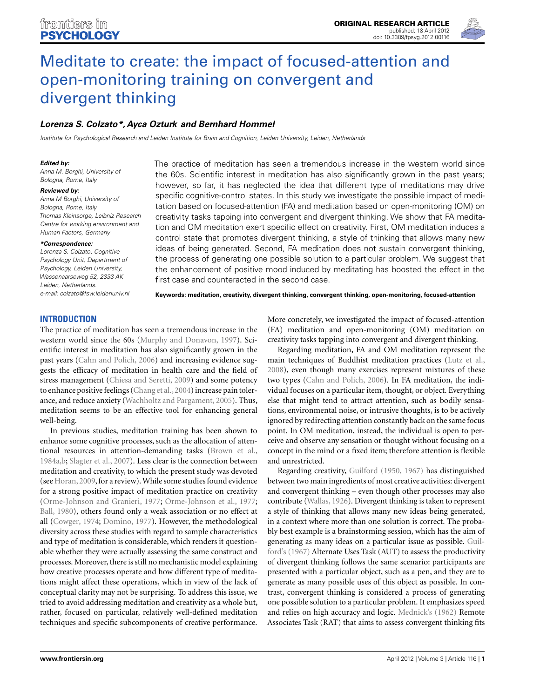

# [Meditate to create: the impact of focused-attention and](http://www.frontiersin.org/Cognition/10.3389/fpsyg.2012.00116/abstract) open-monitoring training on convergent and divergent thinking

# *[Lorenza S. Colzato\\*](http://www.frontiersin.org/Community/WhosWhoActivity.aspx?sname=LorenzaColzato&UID=7934), [Ayca Ozturk](http://www.frontiersin.org/Community/WhosWhoActivity.aspx?sname=AycaSzapora&UID=47636) and [Bernhard Hommel](http://www.frontiersin.org/Community/WhosWhoActivity.aspx?sname=BernhardHommel&UID=7950)*

Institute for Psychological Research and Leiden Institute for Brain and Cognition, Leiden University, Leiden, Netherlands

#### *Edited by:*

Anna M. Borghi, University of Bologna, Rome, Italy

#### *Reviewed by:*

Anna M Borghi, University of Bologna, Rome, Italy Thomas Kleinsorge, Leibniz Research Centre for working environment and Human Factors, Germany

#### *\*Correspondence:*

Lorenza S. Colzato, Cognitive Psychology Unit, Department of Psychology, Leiden University, Wassenaarseweg 52, 2333 AK Leiden, Netherlands. e-mail: [colzato@fsw.leidenuniv.nl](mailto:colzato@fsw.leidenuniv.nl) The practice of meditation has seen a tremendous increase in the western world since the 60s. Scientific interest in meditation has also significantly grown in the past years; however, so far, it has neglected the idea that different type of meditations may drive specific cognitive-control states. In this study we investigate the possible impact of meditation based on focused-attention (FA) and meditation based on open-monitoring (OM) on creativity tasks tapping into convergent and divergent thinking. We show that FA meditation and OM meditation exert specific effect on creativity. First, OM meditation induces a control state that promotes divergent thinking, a style of thinking that allows many new ideas of being generated. Second, FA meditation does not sustain convergent thinking, the process of generating one possible solution to a particular problem. We suggest that the enhancement of positive mood induced by meditating has boosted the effect in the first case and counteracted in the second case.

**Keywords: meditation, creativity, divergent thinking, convergent thinking, open-monitoring, focused-attention**

## **INTRODUCTION**

The practice of meditation has seen a tremendous increase in the western world since the 60s [\(Murphy and Donavon](#page-4-0), [1997\)](#page-4-0). Scientific interest in meditation has also significantly grown in the past years [\(Cahn and Polich, 2006\)](#page-4-0) and increasing evidence suggests the efficacy of meditation in health care and the field of stress management [\(Chiesa and Seretti](#page-4-0), [2009\)](#page-4-0) and some potency to enhance positive feelings (Chang et al., 2004) increase pain tolerance, and reduce anxiety [\(Wachholtz and Pargament](#page-4-0), [2005](#page-4-0)). Thus, meditation seems to be an effective tool for enhancing general well-being.

In previous studies, meditation training has been shown to enhance some cognitive processes, such as the allocation of attentional resources in attention-demanding tasks [\(Brown et al.,](#page-4-0) [1984a,b;](#page-4-0) [Slagter et al., 2007](#page-4-0)). Less clear is the connection between meditation and creativity, to which the present study was devoted (see [Horan](#page-4-0), [2009](#page-4-0), for a review). While some studies found evidence for a strong positive impact of meditation practice on creativity [\(Orme-Johnson and Granieri, 1977;](#page-4-0) [Orme-Johnson et al.](#page-4-0), [1977;](#page-4-0) [Ball, 1980\)](#page-4-0), others found only a weak association or no effect at all [\(Cowger](#page-4-0), [1974](#page-4-0); [Domino](#page-4-0), [1977\)](#page-4-0). However, the methodological diversity across these studies with regard to sample characteristics and type of meditation is considerable, which renders it questionable whether they were actually assessing the same construct and processes. Moreover, there is still no mechanistic model explaining how creative processes operate and how different type of meditations might affect these operations, which in view of the lack of conceptual clarity may not be surprising. To address this issue, we tried to avoid addressing meditation and creativity as a whole but, rather, focused on particular, relatively well-defined meditation techniques and specific subcomponents of creative performance.

More concretely, we investigated the impact of focused-attention (FA) meditation and open-monitoring (OM) meditation on creativity tasks tapping into convergent and divergent thinking.

Regarding meditation, FA and OM meditation represent the main techniques of Buddhist meditation practices [\(Lutz et al.,](#page-4-0) [2008\)](#page-4-0), even though many exercises represent mixtures of these two types [\(Cahn and Polich, 2006](#page-4-0)). In FA meditation, the individual focuses on a particular item, thought, or object. Everything else that might tend to attract attention, such as bodily sensations, environmental noise, or intrusive thoughts, is to be actively ignored by redirecting attention constantly back on the same focus point. In OM meditation, instead, the individual is open to perceive and observe any sensation or thought without focusing on a concept in the mind or a fixed item; therefore attention is flexible and unrestricted.

Regarding creativity, [Guilford](#page-4-0) [\(1950](#page-4-0), [1967\)](#page-4-0) has distinguished between two main ingredients of most creative activities: divergent and convergent thinking – even though other processes may also contribute [\(Wallas, 1926\)](#page-4-0). Divergent thinking is taken to represent a style of thinking that allows many new ideas being generated, in a context where more than one solution is correct. The probably best example is a brainstorming session, which has the aim of gener[ating](#page-4-0) [as](#page-4-0) [many](#page-4-0) [ideas](#page-4-0) [on](#page-4-0) [a](#page-4-0) [particular](#page-4-0) [issue](#page-4-0) [as](#page-4-0) [possible.](#page-4-0) Guilford's [\(1967](#page-4-0)) Alternate Uses Task (AUT) to assess the productivity of divergent thinking follows the same scenario: participants are presented with a particular object, such as a pen, and they are to generate as many possible uses of this object as possible. In contrast, convergent thinking is considered a process of generating one possible solution to a particular problem. It emphasizes speed and relies on high accuracy and logic. [Mednick's](#page-4-0) [\(1962](#page-4-0)) Remote Associates Task (RAT) that aims to assess convergent thinking fits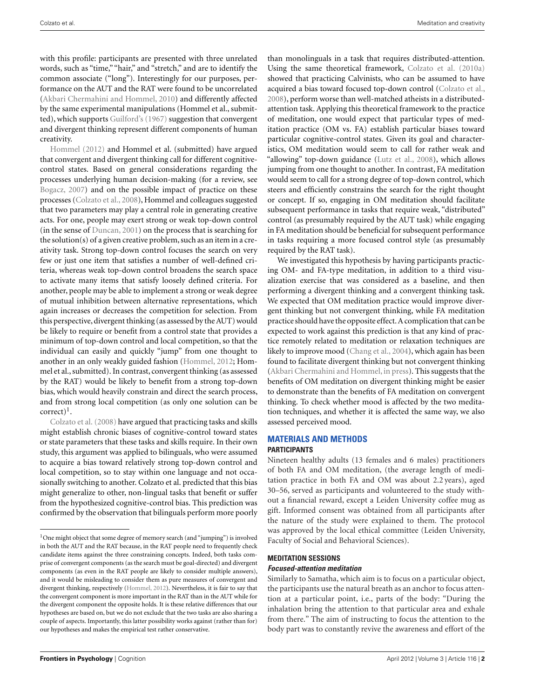with this profile: participants are presented with three unrelated words, such as "time," "hair," and "stretch," and are to identify the common associate ("long"). Interestingly for our purposes, performance on the AUT and the RAT were found to be uncorrelated [\(Akbari Chermahini and Hommel, 2010](#page-4-0)) and differently affected by the same experimental manipulations (Hommel et al., submitted), which supports [Guilford's](#page-4-0) [\(1967](#page-4-0)) suggestion that convergent and divergent thinking represent different components of human [creativity.](#page-4-0)

Hommel [\(2012](#page-4-0)) and Hommel et al. (submitted) have argued that convergent and divergent thinking call for different cognitivecontrol states. Based on general considerations regarding the processes underlying human decision-making (for a review, see [Bogacz](#page-4-0), [2007\)](#page-4-0) and on the possible impact of practice on these processes [\(Colzato et al.](#page-4-0), [2008](#page-4-0)), Hommel and colleagues suggested that two parameters may play a central role in generating creative acts. For one, people may exert strong or weak top-down control (in the sense of [Duncan, 2001\)](#page-4-0) on the process that is searching for the solution(s) of a given creative problem, such as an item in a creativity task. Strong top-down control focuses the search on very few or just one item that satisfies a number of well-defined criteria, whereas weak top-down control broadens the search space to activate many items that satisfy loosely defined criteria. For another, people may be able to implement a strong or weak degree of mutual inhibition between alternative representations, which again increases or decreases the competition for selection. From this perspective, divergent thinking (as assessed by the AUT) would be likely to require or benefit from a control state that provides a minimum of top-down control and local competition, so that the individual can easily and quickly "jump" from one thought to another in an only weakly guided fashion [\(Hommel, 2012](#page-4-0); Hommel et al., submitted). In contrast, convergent thinking (as assessed by the RAT) would be likely to benefit from a strong top-down bias, which would heavily constrain and direct the search process, and from strong local competition (as only one solution can be  $correct)^{1}$  $correct)^{1}$ .

Colzato et al. [\(2008\)](#page-4-0) have argued that practicing tasks and skills might establish chronic biases of cognitive-control toward states or state parameters that these tasks and skills require. In their own study, this argument was applied to bilinguals, who were assumed to acquire a bias toward relatively strong top-down control and local competition, so to stay within one language and not occasionally switching to another. Colzato et al. predicted that this bias might generalize to other, non-lingual tasks that benefit or suffer from the hypothesized cognitive-control bias. This prediction was confirmed by the observation that bilinguals perform more poorly

than monolinguals in a task that requires distributed-attention. Using the same theoretical framework, [Colzato et al.](#page-4-0) [\(2010a](#page-4-0)) showed that practicing Calvinists, who can be assumed to have acquired a bias toward focused top-down control [\(Colzato et al.,](#page-4-0) [2008\)](#page-4-0), perform worse than well-matched atheists in a distributedattention task. Applying this theoretical framework to the practice of meditation, one would expect that particular types of meditation practice (OM vs. FA) establish particular biases toward particular cognitive-control states. Given its goal and characteristics, OM meditation would seem to call for rather weak and "allowing" top-down guidance [\(Lutz et al.](#page-4-0), [2008\)](#page-4-0), which allows jumping from one thought to another. In contrast, FA meditation would seem to call for a strong degree of top-down control, which steers and efficiently constrains the search for the right thought or concept. If so, engaging in OM meditation should facilitate subsequent performance in tasks that require weak, "distributed" control (as presumably required by the AUT task) while engaging in FA meditation should be beneficial for subsequent performance in tasks requiring a more focused control style (as presumably required by the RAT task).

We investigated this hypothesis by having participants practicing OM- and FA-type meditation, in addition to a third visualization exercise that was considered as a baseline, and then performing a divergent thinking and a convergent thinking task. We expected that OM meditation practice would improve divergent thinking but not convergent thinking, while FA meditation practice should have the opposite effect.A complication that can be expected to work against this prediction is that any kind of practice remotely related to meditation or relaxation techniques are likely to improve mood [\(Chang et al., 2004\)](#page-4-0), which again has been found to facilitate divergent thinking but not convergent thinking [\(Akbari Chermahini and Hommel](#page-4-0), [in press](#page-4-0)). This suggests that the benefits of OM meditation on divergent thinking might be easier to demonstrate than the benefits of FA meditation on convergent thinking. To check whether mood is affected by the two meditation techniques, and whether it is affected the same way, we also assessed perceived mood.

## **MATERIALS AND METHODS PARTICIPANTS**

Nineteen healthy adults (13 females and 6 males) practitioners of both FA and OM meditation, (the average length of meditation practice in both FA and OM was about 2.2 years), aged 30–56, served as participants and volunteered to the study without a financial reward, except a Leiden University coffee mug as gift. Informed consent was obtained from all participants after the nature of the study were explained to them. The protocol was approved by the local ethical committee (Leiden University, Faculty of Social and Behavioral Sciences).

# **MEDITATION SESSIONS**

#### *Focused-attention meditation*

Similarly to Samatha, which aim is to focus on a particular object, the participants use the natural breath as an anchor to focus attention at a particular point, i.e., parts of the body: "During the inhalation bring the attention to that particular area and exhale from there." The aim of instructing to focus the attention to the body part was to constantly revive the awareness and effort of the

<sup>&</sup>lt;sup>1</sup>One might object that some degree of memory search (and "jumping") is involved in both the AUT and the RAT because, in the RAT people need to frequently check candidate items against the three constraining concepts. Indeed, both tasks comprise of convergent components (as the search must be goal-directed) and divergent components (as even in the RAT people are likely to consider multiple answers), and it would be misleading to consider them as pure measures of convergent and divergent thinking, respectively [\(Hommel](#page-4-0), [2012](#page-4-0)). Nevertheless, it is fair to say that the convergent component is more important in the RAT than in the AUT while for the divergent component the opposite holds. It is these relative differences that our hypotheses are based on, but we do not exclude that the two tasks are also sharing a couple of aspects. Importantly, this latter possibility works against (rather than for) our hypotheses and makes the empirical test rather conservative.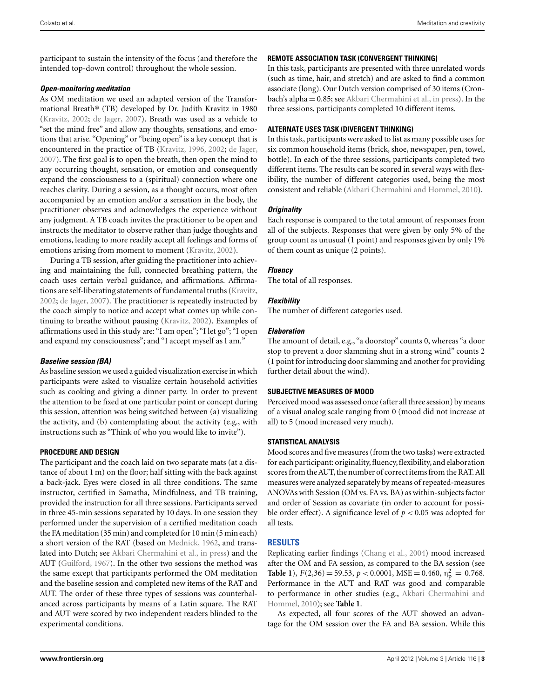participant to sustain the intensity of the focus (and therefore the intended top-down control) throughout the whole session.

#### *Open-monitoring meditation*

As OM meditation we used an adapted version of the Transformational Breath® (TB) developed by Dr. Judith Kravitz in 1980 [\(Kravitz](#page-4-0), [2002;](#page-4-0) [de Jager, 2007](#page-4-0)). Breath was used as a vehicle to "set the mind free" and allow any thoughts, sensations, and emotions that arise. "Opening" or "being open" is a key concept that is encountered in the practice of TB [\(Kravitz, 1996, 2002;](#page-4-0) [de Jager,](#page-4-0) [2007\)](#page-4-0). The first goal is to open the breath, then open the mind to any occurring thought, sensation, or emotion and consequently expand the consciousness to a (spiritual) connection where one reaches clarity. During a session, as a thought occurs, most often accompanied by an emotion and/or a sensation in the body, the practitioner observes and acknowledges the experience without any judgment. A TB coach invites the practitioner to be open and instructs the meditator to observe rather than judge thoughts and emotions, leading to more readily accept all feelings and forms of emotions arising from moment to moment [\(Kravitz, 2002](#page-4-0)).

During a TB session, after guiding the practitioner into achieving and maintaining the full, connected breathing pattern, the coach uses certain verbal guidance, and affirmations. Affirmations are self-liberating statements of fundamental truths [\(Kravitz,](#page-4-0) [2002;](#page-4-0) [de Jager](#page-4-0), [2007](#page-4-0)). The practitioner is repeatedly instructed by the coach simply to notice and accept what comes up while continuing to breathe without pausing [\(Kravitz](#page-4-0), [2002](#page-4-0)). Examples of affirmations used in this study are: "I am open"; "I let go"; "I open and expand my consciousness"; and "I accept myself as I am."

#### *Baseline session (BA)*

As baseline session we used a guided visualization exercise in which participants were asked to visualize certain household activities such as cooking and giving a dinner party. In order to prevent the attention to be fixed at one particular point or concept during this session, attention was being switched between (a) visualizing the activity, and (b) contemplating about the activity (e.g., with instructions such as "Think of who you would like to invite").

#### **PROCEDURE AND DESIGN**

The participant and the coach laid on two separate mats (at a distance of about 1 m) on the floor; half sitting with the back against a back-jack. Eyes were closed in all three conditions. The same instructor, certified in Samatha, Mindfulness, and TB training, provided the instruction for all three sessions. Participants served in three 45-min sessions separated by 10 days. In one session they performed under the supervision of a certified meditation coach the FA meditation (35 min) and completed for 10 min (5 min each) a short version of the RAT (based on [Mednick](#page-4-0), [1962](#page-4-0), and translated into Dutch; see [Akbari Chermahini et al., in press\)](#page-4-0) and the AUT [\(Guilford, 1967\)](#page-4-0). In the other two sessions the method was the same except that participants performed the OM meditation and the baseline session and completed new items of the RAT and AUT. The order of these three types of sessions was counterbalanced across participants by means of a Latin square. The RAT and AUT were scored by two independent readers blinded to the experimental conditions.

### **REMOTE ASSOCIATION TASK (CONVERGENT THINKING)**

In this task, participants are presented with three unrelated words (such as time, hair, and stretch) and are asked to find a common associate (long). Our Dutch version comprised of 30 items (Cronbach's alpha = 0.85; see [Akbari Chermahini et al., in press\)](#page-4-0). In the three sessions, participants completed 10 different items.

## **ALTERNATE USES TASK (DIVERGENT THINKING)**

In this task, participants were asked to list as many possible uses for six common household items (brick, shoe, newspaper, pen, towel, bottle). In each of the three sessions, participants completed two different items. The results can be scored in several ways with flexibility, the number of different categories used, being the most consistent and reliable [\(Akbari Chermahini and Hommel, 2010\)](#page-4-0).

## *Originality*

Each response is compared to the total amount of responses from all of the subjects. Responses that were given by only 5% of the group count as unusual (1 point) and responses given by only 1% of them count as unique (2 points).

## *Fluency*

The total of all responses.

## *Flexibility*

The number of different categories used.

#### *Elaboration*

The amount of detail, e.g., "a doorstop" counts 0, whereas "a door stop to prevent a door slamming shut in a strong wind" counts 2 (1 point for introducing door slamming and another for providing further detail about the wind).

#### **SUBJECTIVE MEASURES OF MOOD**

Perceived mood was assessed once (after all three session) by means of a visual analog scale ranging from 0 (mood did not increase at all) to 5 (mood increased very much).

#### **STATISTICAL ANALYSIS**

Mood scores and five measures (from the two tasks) were extracted for each participant: originality, fluency, flexibility, and elaboration scores from the AUT, the number of correct items from the RAT. All measures were analyzed separately by means of repeated-measures ANOVAs with Session (OM vs. FA vs. BA) as within-subjects factor and order of Session as covariate (in order to account for possible order effect). A significance level of  $p < 0.05$  was adopted for all tests.

## **RESULTS**

Replicating earlier findings [\(Chang et al.](#page-4-0), [2004](#page-4-0)) mood increased after the OM and FA session, as compared to the BA session (see **[Table 1](#page-3-0)**),  $F(2,36) = 59.53$ ,  $p < 0.0001$ , MSE = 0.460,  $n_p^2 = 0.768$ . Performance in the AUT and RAT was good and comparable to perfo[rmance](#page-4-0) [in](#page-4-0) [other](#page-4-0) [studies](#page-4-0) [\(e.g.,](#page-4-0) Akbari Chermahini and Hommel, [2010\)](#page-4-0); see **[Table 1](#page-3-0)**.

As expected, all four scores of the AUT showed an advantage for the OM session over the FA and BA session. While this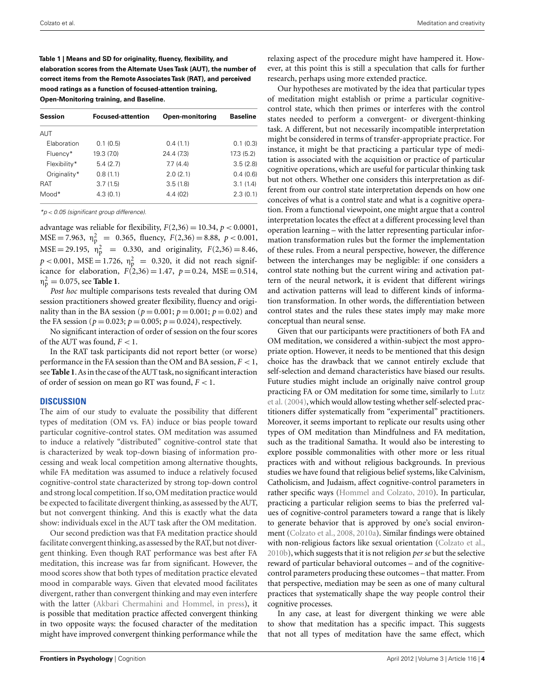<span id="page-3-0"></span>**Table 1 | Means and SD for originality, fluency, flexibility, and elaboration scores from the Alternate Uses Task (AUT), the number of correct items from the Remote Associates Task (RAT), and perceived mood ratings as a function of focused-attention training, Open-Monitoring training, and Baseline.**

**Session Focused-attention Open-monitoring Baseline** AUT Elaboration 0.1 (0.5) 0.4 (1.1) 0.1 (0.3) Fluency\* 19.3 (7.0) 24.4 (7.3) 17.3 (5.2) Flexibility\* 5.4 (2.7) 7.7 (4.4) 3.5 (2.8) Originality\* 0.8 (1.1) 2.0 (2.1) 0.4 (0.6) RAT 3.7 (1.5) 3.5 (1.8) 3.1 (1.4) Mood\* 4.3 (0.1) 4.4 (02) 2.3 (0.1)

 $*p$  < 0.05 (significant group difference).

advantage was reliable for flexibility,  $F(2,36) = 10.34$ ,  $p < 0.0001$ ,  $MSE = 7.963$ ,  $\eta_p^2 = 0.365$ , fluency,  $F(2,36) = 8.88$ ,  $p < 0.001$ ,  $MSE = 29.195$ ,  $\eta_p^2 = 0.330$ , and originality,  $F(2,36) = 8.46$ ,  $p < 0.001$ , MSE = 1.726,  $\eta_p^2 = 0.320$ , it did not reach significance for elaboration,  $F(2,36) = 1.47$ ,  $p = 0.24$ , MSE = 0.514,  $n_{\rm p}^2 = 0.075$ , see **Table 1**.

*Post hoc* multiple comparisons tests revealed that during OM session practitioners showed greater flexibility, fluency and originality than in the BA session ( $p = 0.001$ ;  $p = 0.001$ ;  $p = 0.02$ ) and the FA session ( $p = 0.023$ ;  $p = 0.005$ ;  $p = 0.024$ ), respectively.

No significant interaction of order of session on the four scores of the AUT was found,  $F < 1$ .

In the RAT task participants did not report better (or worse) performance in the FA session than the OM and BA session,  $F < 1$ , see**Table 1**.As in the case of theAUT task, no significant interaction of order of session on mean go RT was found, *F* < 1.

#### **DISCUSSION**

The aim of our study to evaluate the possibility that different types of meditation (OM vs. FA) induce or bias people toward particular cognitive-control states. OM meditation was assumed to induce a relatively "distributed" cognitive-control state that is characterized by weak top-down biasing of information processing and weak local competition among alternative thoughts, while FA meditation was assumed to induce a relatively focused cognitive-control state characterized by strong top-down control and strong local competition. If so, OM meditation practice would be expected to facilitate divergent thinking, as assessed by the AUT, but not convergent thinking. And this is exactly what the data show: individuals excel in the AUT task after the OM meditation.

Our second prediction was that FA meditation practice should facilitate convergent thinking, as assessed by the RAT, but not divergent thinking. Even though RAT performance was best after FA meditation, this increase was far from significant. However, the mood scores show that both types of meditation practice elevated mood in comparable ways. Given that elevated mood facilitates divergent, rather than convergent thinking and may even interfere with the latter [\(Akbari Chermahini and Hommel, in press](#page-4-0)), it is possible that meditation practice affected convergent thinking in two opposite ways: the focused character of the meditation might have improved convergent thinking performance while the

relaxing aspect of the procedure might have hampered it. However, at this point this is still a speculation that calls for further research, perhaps using more extended practice.

Our hypotheses are motivated by the idea that particular types of meditation might establish or prime a particular cognitivecontrol state, which then primes or interferes with the control states needed to perform a convergent- or divergent-thinking task. A different, but not necessarily incompatible interpretation might be considered in terms of transfer-appropriate practice. For instance, it might be that practicing a particular type of meditation is associated with the acquisition or practice of particular cognitive operations, which are useful for particular thinking task but not others. Whether one considers this interpretation as different from our control state interpretation depends on how one conceives of what is a control state and what is a cognitive operation. From a functional viewpoint, one might argue that a control interpretation locates the effect at a different processing level than operation learning – with the latter representing particular information transformation rules but the former the implementation of these rules. From a neural perspective, however, the difference between the interchanges may be negligible: if one considers a control state nothing but the current wiring and activation pattern of the neural network, it is evident that different wirings and activation patterns will lead to different kinds of information transformation. In other words, the differentiation between control states and the rules these states imply may make more conceptual than neural sense.

Given that our participants were practitioners of both FA and OM meditation, we considered a within-subject the most appropriate option. However, it needs to be mentioned that this design choice has the drawback that we cannot entirely exclude that self-selection and demand characteristics have biased our results. Future studies might include an originally naive control group prac[ticing FA or OM meditation for some time, similarly to](#page-4-0) Lutz et al. [\(2004](#page-4-0)), which would allow testing whether self-selected practitioners differ systematically from "experimental" practitioners. Moreover, it seems important to replicate our results using other types of OM meditation than Mindfulness and FA meditation, such as the traditional Samatha. It would also be interesting to explore possible commonalities with other more or less ritual practices with and without religious backgrounds. In previous studies we have found that religious belief systems, like Calvinism, Catholicism, and Judaism, affect cognitive-control parameters in rather specific ways [\(Hommel and Colzato](#page-4-0), [2010](#page-4-0)). In particular, practicing a particular religion seems to bias the preferred values of cognitive-control parameters toward a range that is likely to generate behavior that is approved by one's social environment [\(Colzato et al., 2008](#page-4-0), [2010a\)](#page-4-0). Similar findings were obtained with non-religious factors like sexual orientation [\(Colzato et al.,](#page-4-0) [2010b](#page-4-0)), which suggests that it is not religion *per se* but the selective reward of particular behavioral outcomes – and of the cognitivecontrol parameters producing these outcomes – that matter. From that perspective, mediation may be seen as one of many cultural practices that systematically shape the way people control their cognitive processes.

In any case, at least for divergent thinking we were able to show that meditation has a specific impact. This suggests that not all types of meditation have the same effect, which